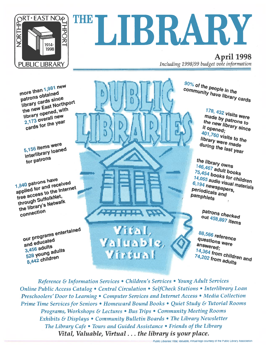

# THELIBRARY

April 1998 Including 1998/99 budget vote information

more than  $1,981$  new more than 1,50 m<br>patrons obtained<br>patrons cards sing patrons obtained<br>library cards since patrons<br>library cards since<br>the new East Northport<br>the new opened, with the new East Norm-<br>library opened, with<br>library opened, with library opened,<br>2,173 overall new 2,173 overall the year

5,156 items were 5,156 items were<br>interlibrary loaned internations

1,840 patrons have 1,840 patrons have<br>applied for and received<br>applied for and received 1,840 patrol. and received<br>applied for and the Internet<br>free access to the literate through SuffolkNet,<br>through SuffolkNet,<br>through SuffolkNet through Suffolkness<br>through Suffolkness<br>the library's Netwalk the library

> our programs entertained our program-<br>and educated and  $\frac{e^{i\alpha}}{3,456}$  adults  $3,456$  adults<br>528 young adults 528 younger

<u>Acament</u> Vital, Valuable, Virtual

90% of the people in the<br>community have life community have lin the<br>community have library cards

> 178, 432 visits were made by patrons to<br>the new library to **The new library since**<br>the new library since<br>it opened; it opened; "Copened;<br>401,760 visits to the<br>library were mediate library were made<br>during the loss during during the last year

the library owns The Horary owns<br>146,467 adult books<br>75,454 books for M  $\frac{75,457}{75,454}$  books<br> $\frac{14,055}{75,454}$  books for children 14,055 audio visual materials<br>6,194 newspapers<br>Periodies: spapers. 6,194 newspapers,<br>Periodicals and periodicals **Periodicals**<br>Periodicals and pamphlets

> P<sup>atro</sup>ns checked<br>Out 45s concred out 458,897 items

88,566 reference questions were<br>answered answered; unswered;<br>14,364 from children and<br>74,202 from adults 74,202 from childre

Reference & Information Services • Children's Services • Young Adult Services Online Public Access Catalog • Central Circulation • SelfCheck Stations • Interlibrary Loan Preschoolers' Door to Learning • Computer Services and Internet Access • Media Collection Prime Time Servicesfor Seniors • Homeward Bound Books • Quiet Study & Tutorial Rooms Programs, Workshops & Lectures • Bus Trips • Community Meeting Rooms Exhibits & Displays • Community Bulletin Boards • The Library Newsletter The Library Cafe • Tours and Guided Assistance • Friends of the Library Vital, Valuable, Virtual.. . the library is your place.

Public Libraries: Vital. Valuable, Virtual logo courtesy of the Public Library Association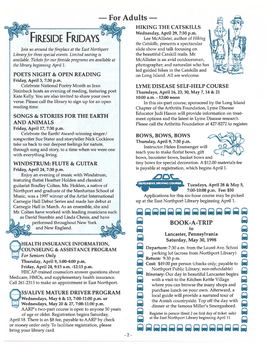

Join us around the fireplace at the East Northport Library for three special events. Limited seating is available. Tickets for our fireside programs are available at the library beginning April 1.

**FIRESIDE FRIDAYS** 

#### POETS NIGHT& OPEN READING

Friday, April 3, 7:30 p.m.

Celebrate National Poetry Month as Jean Stainback hosts an evening of reading, featuring poe<sup>t</sup> Kate Kelly. You are also invited to share your own verse. Please call the library to sign up for an open reading time.

#### SONGS& STORIES FOR THE EARTH AND ANIMALS

#### Friday, April 17, 7:30 p.m.

Celebrate the Earth! Award-winning singer/ songwriter Sue Stater and storyteller Nick Cockinos take us back to our deepest feelings for nature, through song and story, to <sup>a</sup> time when we were one with everything living.

#### WINDSTRUM: FLUTE & GUITAR

#### Friday, April 24, 7:30 p.m.

Enjoy an evening of music with Windstrum, featuring flutist Heather Holden and classical guitarist Bradley Colten. Ms. Holden, <sup>a</sup> native of Northport and graduate of the Manhattan School of Music, was <sup>a</sup> 1997 winner of the Artist International Carnegie Hall Debut Series and made her debut at Carnegie Hall in March. As an ensemble, she and Mr. Colten have worked with leading musicians such

as David Starobin and Linda Chesis, and have

performed throughout New York and New England.

#### **EXAMPLE ALTH INSURANCE INFORMATION, LACOUNSELING & ASSISTANCE PROGRAM** For Seniors Only

Thursday, April 9, 1:00-4:00 p.m. Friday, April 24, 9:15 a.m. -12:15 p.m.

HIICAP-trained counselors answer questions about Medicare, HMOs, and supplementary health insurance. Call 261-2313 to make an appointment in East Northport.



55/ALIVE MATURE DRIVER PROGRAM Wednesdays, May 6 & 13, 7:00-11:00 p.m. or

Wednesdays, May 20 & 27, 7:00-11:00 p.m. AARP's two-part course is open to anyone 50 years of age or older. Registration begins Saturday,

April 18. There is an \$8 fee, payable to AARP by check or money order only. To facilitate registration, please bring your library card.

#### HIKING THE CATSKILLS Wednesday, April 29, 7:30 p.m.

Lee McAllister, author of Hiking the Catskills, presents <sup>a</sup> spectacular slide show and talk focusing on the beautiful Catskill trails. Mr. McAllister is an avid outdoorsman, photographer, and naturalist who has led guided hikes in the Catskills and on Long Island. All are welcome.



#### LYME DISEASE SELF-HELP COURSE

Thursdays, April 16, 23, 30, May 7, 14 & 21 10:00 a.m. - 12:00 noon

In this six-part course, sponsored by the Long Island Chapter of the Arthritis Foundation, Lyme Disease Educator Judi Hason will provide information on treat ment options and the latest in Lyme Disease research. Please call the Arthritis Foundation at 427-8272 to register.

#### BOWS, BOWS, BOWS

Thursday, April 9, 7:30 p.m.

Instructor Helen Ensmenger will teach you to make florist bows, gift bows, bannister bows, basket bows and

<u>. I. I. I. I. I. II. II. II</u>



tiny bows for special decoration. A \$12.00 materials fee is payable at registration, which begins April 1.



**DEFENSIVE DRIVING COURSE!** Tuesdays, April 28 & May 5, 7:00-10:00 p.m. Fee: \$30

Applications for this six-hour course may be picked up at the East Northport Library beginning April 1.

BOOK-A-TRIP

toLancaster, Pennsylvania Saturday, May 30, 1998

Departure: 7:30 a.m. from the Laurel Ave. School parking lot (across from Northport Library) **eturn:** 9:30 p.m

Cost: \$49.00 per person (checks only; payable to Northport Public Library; non-refundable) Itinerary: Our day in beautiful Lancaster begins with a visit to the Kitchen Kettle Village where you can browse the many shops and purchase lunch on your own. Afterward, <sup>a</sup> local guide will provide <sup>a</sup> narrated tour of the Amish countryside. Top off the day with dinner at the famous Miller's Smorgasbord.

Register in person (limit 2 on first day of ticket sale) at the East Northport Library beginning April 11.

 $t = \frac{1}{2}$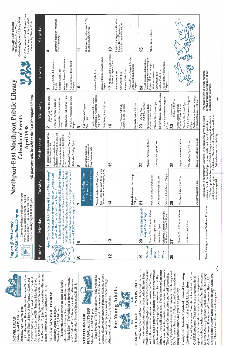#### Monday, April 20, 7:00 p.m. Monday, April 20, 7:00 p.m. Friday, April 17, 1:00 p.m. Friday, April 17, 1:00 p.m. NOVEL IDEAS NOVEL IDEAS



will be shown, including an interview with the author, will be shown, including an interview with the author, Alex Kotlowitz. To join this group call our discussion Alex Kotlowitz. To join this group call our discussion Our discussion this month will focus on The Other Our discussion this month will focus on The Other America's Dilemma, a novel based on a true incident. America's Dilemma, a novel based on a true incident. A segment from the CBS "Sunday Morning" show segment from the CBS "Sunday Morning" show Death, and leader, Librarian Dodie Gillman, at 261-2313. leader, Librarian Dodie Giliman, at 261-2313. A Story of Two Towns, ASide of the River:

Thursday, April 2, 1:00 p.m. Thursday, April 2, 1:00 p.m.

Tuesday, April 7, 7:00 p.m. Tuesday, April 7, 7:00 p.m.

"Fannie Mae," "The Wedding of Henry Markowitz," "Fannie Mae," "The Wedding of Henry Markowitz," and "Fantasy Rose." To join us, call our discussion and "Fantasy Rose." To join us, call our discussion This month's short stories are from The Family This month's short stories are from The Family leader, Librarian Michelle Epstein, at 261-2313. Markowitz by Allegra Goodman. We'll discuss leader, Librarian Michelle Epstein, at 261-2313. Markozvitz by Allegra Goodman. We'll discuss

#### FINANCIAL FITNESS Monday, April 20, 7:30 p.m. Monday April 20, 7:30pm **STRATEGIES FOR**



### BOOK &SANDWICH (W)RAP

increase discretionary income, plan for adequate protec-Dana Sydney of The Equitable will help you assess increase discretionary income, plan for adequate protec Dana Sydney of The Equitable will help you assess your financial fitness and discuss ways to locate and tion in case of emergencies, invest to finance college your financial fitness and discuss ways to locate and tion in case of emergencies, invest to finance college education, and more. All are welcome. education, and more. All are welcome.

### CARRY THE CARD ... IT'S POWERFUL! CARRY THE CARD .. . IT'S POWERFUL! Wright Reid Wright

Your Northport-East Northport library card, that is. It's library ... you will sign as well. The YA Internet Computer middle school through age 17, we offer Internet Access and You will need a parent or guardian to give their permission offers you links to valuable resources for class assignments. Your Northport-East Northport library card, that is. It's middle school through age 17, we offer Internet Access and You will need a parent or guardian to give their permission library. . . you will sign as well. The YA Internet Computer offers you links to valuable resources for class assignments. encyclopedias and more. BUT, remember that library card. encyclopedias and more. BUT, remember that library card. your ticket to computer access at the public library. From an Applications Computer for your use in the YA Corner. Don't have a library card? Stop at the Circulation Center, your ticket to computer access at the public library. From an Applications Computer for your use in the YA Corner. The Applications Computer offers you word processing, Don't have a library card? Stop at the Circulation Center, The Applications Computer offers you word processing, for Internet access by signing an agreement form at the for Internet access by signing an agreement form at the bring identification, and you're on your way. bring identification, and you're on your way.

### Computer Assisted Student Tutorial Learning Computer Assisted Student Tutorial Learning Environment ... that's CASTLE for short! Environment. . . that's CASTLE for short!



The YA Applications Computer is loaded with all the The YA Applications Computer is loaded with all the and vocabulary using a vast database. You'll have access to these CASTLE programs: Global Studies, U.S. History and vocabulary using a vast database. You'll have access to these CASTLE programs: Global Studies, U.S. History United States History, Earth Science, Biology, Chemistry, United States History, Earth Science, Biology, Chemistry, CASTLE programs. These easy to use programs, developed by experienced teachers, let you access questions CASTLE programs. These easy to use programs, devel oped by experienced teachers, let you access questions & Government, Economics, AP European History, AP Government, Economics, AP European History, AP and Physics. Don't forget your library card! and Physics. Don't forget your library card!

|                     | NETWALK@suffolk.lib.ny.us<br>Log on @ the Library -                                                                                                                                                                                     |                                                                                                               |                                                                                                                                                        | Northport-East Northport Public Library                                                                                        |                                                                                                                 | $\overline{\phantom{a}}$<br>"Global Reach, Local Touch,<br>Display Case Exhibit                                                           |
|---------------------|-----------------------------------------------------------------------------------------------------------------------------------------------------------------------------------------------------------------------------------------|---------------------------------------------------------------------------------------------------------------|--------------------------------------------------------------------------------------------------------------------------------------------------------|--------------------------------------------------------------------------------------------------------------------------------|-----------------------------------------------------------------------------------------------------------------|-------------------------------------------------------------------------------------------------------------------------------------------|
| METWALK<br>لسللا    | Come to the library and apply for your<br>free NETWALK Internet account. The next<br>meeting of the NETWALK Internet User<br>Group is Tuesday, April 14 at 7:30 p.m.                                                                    |                                                                                                               | <b>Calendar of Events</b><br>April 1998<br>All programs will be held                                                                                   | at the East Northport Library.                                                                                                 |                                                                                                                 | <b>East Northport Floral Decorations</b><br>Celebrating National Library Week<br>Irene Ackerman of the Larkfield<br>Community Garden Club |
| Sunday              | Monday                                                                                                                                                                                                                                  | Tuesday                                                                                                       | $\blacktriangleright$<br>Wednesda                                                                                                                      | $T$ hursday                                                                                                                    | Friday                                                                                                          | Saturday                                                                                                                                  |
|                     | April 20 is "Check It Out Yourself Day at the Library"<br>yourself" on the library's SelfCheck System!                                                                                                                                  | In honor of National Library Week, 3M Library Systems<br>When you visit the library on April 20 "Check It Out | Defensive Driving, on 4/28 & 5/5<br>Registration begins for Bows,<br>Bows, Bows, on 4/9<br>Applications available for<br>$\mathbf \tau$                | AARP Tax-Aide Program<br>*New Mothers Discussion Group<br>*For Fours 9:30 am & 10:30 am<br>$9$ am $-1$ pm<br>$\mathbf{\Omega}$ | Young Adult Book Reviewers<br>Knitters' Circle 7 pm<br>$4-5$ pm<br>က                                            | Registration begins for Preschoolers'<br>Door To Learning<br>₹                                                                            |
|                     | SelfCheck that day, our library may be eligible to receive an<br>is sponsoring its 2nd annual "Check It Out Yourself Day at<br>the Library." Based on the number of items counted by the<br>award of \$1,000 for our acquisitions fund. |                                                                                                               | Free Blood Pressure Check 1-3 pm<br>Friday programs on 4/3, 4/17 &<br>Tickets available for Fireside<br>$7\,\mathrm{pm}$<br>*Defensive Driving<br>4/24 | *Book & Sandwich (W)rap 1 pm<br>*YA S.A.T. Preparation Program<br>$6-9$ pm<br>$10$ am                                          | Volunteer Income Tax Assistance<br><i><b>*Fireside Friday: Poets Night</b></i><br>7:30 pm<br>$7.9\,\mathrm{pm}$ |                                                                                                                                           |
| LО                  | $\bullet$                                                                                                                                                                                                                               | Ņ                                                                                                             | $\infty$                                                                                                                                               | စ                                                                                                                              | $\mathbf{C}$                                                                                                    | $\mathbf{r}$                                                                                                                              |
|                     |                                                                                                                                                                                                                                         | Library Budget Vote<br>$9 \text{ am} - 9 \text{ pm}$                                                          | Registration begins for<br>Music & Movement and<br>Story Parade, on 4/24                                                                               | AARP Tax-Aide Program<br>9 am - 1 pm                                                                                           |                                                                                                                 | Ticket sales begin for Book-A-Trip<br>to Lancaster, PA, on 5/30                                                                           |
|                     |                                                                                                                                                                                                                                         | at the East Northport Library<br>*Book & Sandwich (W)rap 7 pm                                                 |                                                                                                                                                        | *Health Insurance Information,<br>Counseling & Assistance Program<br>1-4 pm by appt.                                           | Knitters' Circle 7 pm                                                                                           |                                                                                                                                           |
|                     |                                                                                                                                                                                                                                         | Kids Cast Your Vote! 10 am - 8 pm<br>(followed by Cast Your Vote party, 8 pm)                                 |                                                                                                                                                        | *Bow, Bows, Bows 7:30 pm                                                                                                       | Volunteer Income Tax Assistance<br>7-9 pm                                                                       |                                                                                                                                           |
| $\mathbf{r}$        | $\frac{3}{2}$                                                                                                                                                                                                                           | $\mathbf{1}$                                                                                                  | $\frac{5}{1}$                                                                                                                                          | $\frac{6}{1}$                                                                                                                  | *Book-A-Trip to The Newark<br>Museum departs 8 am<br>17                                                         | $\frac{8}{1}$                                                                                                                             |
|                     |                                                                                                                                                                                                                                         |                                                                                                               |                                                                                                                                                        |                                                                                                                                | *Novel Ideas 1 pm<br>*Story Parade 4 pm                                                                         | Registration begins for 55/Alive<br>Mature Driver Programs on<br>$5/6$ & $5/13$ and $5/20$ & $5/27$                                       |
|                     |                                                                                                                                                                                                                                         |                                                                                                               |                                                                                                                                                        | "Lyme Disease Self-Help<br>Course 10 am - 12 noon                                                                              | Knitters' Circle 7 pm                                                                                           |                                                                                                                                           |
|                     |                                                                                                                                                                                                                                         | <b>Netwolk</b> Internet User Group<br>7:30 pm                                                                 |                                                                                                                                                        | Netwolk Basics 7:30 pm                                                                                                         | *Fireside Friday: Songs & Stories<br>for the Earth and Animals<br>$7:30~\mathrm{pm}$                            | $\diagdown$                                                                                                                               |
| $\frac{6}{1}$       | "Check It Out Yourself<br>Day at the Library"<br><b>QQ</b>                                                                                                                                                                              | $\overline{\mathbf{N}}$                                                                                       | 22                                                                                                                                                     | 9:30 am & 10:30 am<br>"On My Own<br>23                                                                                         | *Health Insurance Information,<br>$\mathbf{z}$                                                                  | <b>25</b>                                                                                                                                 |
| National<br>Library | "Tales For Two 9:30 am & 10:30 am                                                                                                                                                                                                       | "For Fours 9:30 am & 10:30 am                                                                                 | "Laptime 9:30 am & 10:30 am                                                                                                                            | *Lyme Disease Self-Help<br>Course 10 am - 12 noon                                                                              | Counseling & Assistance Program<br>9:15 am - 12:15 pm by appt.                                                  | *Mother Goose 9:30 am                                                                                                                     |
| Week<br>April       | "For Fours 1 pm & 2 pm<br>*Novel Ideas 7 pm                                                                                                                                                                                             | Oral History Project 7:30 pm                                                                                  | "On My Own 1 pm & 2 pm                                                                                                                                 | Library Board of Trustees Meeting<br>*Tales For Two 1 pm & 2 pm                                                                | *Music & Movement 10 am<br>Knitters' Circle 7 pm<br>*Story Parade 4 pm                                          |                                                                                                                                           |
| 19-25               | Concerned Consumer: Strategies<br>for Financial Fitness 7:30 pm                                                                                                                                                                         | $7:30~\mathrm{pm}$<br>Friends of the Library                                                                  |                                                                                                                                                        | *YA S.A.T. Preparation Program<br>$6-9$ pm                                                                                     | *Fireside Friday: Windstrum<br>$7:30~\mathrm{pm}$                                                               |                                                                                                                                           |
| 26                  | 27                                                                                                                                                                                                                                      | $\bf{8}$                                                                                                      | $\mathbf{S}$                                                                                                                                           | 9:30 am & 10:30 am<br>*On My Own<br>႙                                                                                          |                                                                                                                 |                                                                                                                                           |
|                     | "Tales For Two 9:30 am & 10:30 am                                                                                                                                                                                                       | "For Fours 9:30 am & 10:30 am                                                                                 | "Laptime 9:30 am & 10:30 am                                                                                                                            | "Tales For Two 1 pm & 2 pm<br>*Lyme Disease Self-Help<br>Course 10 am - 12 noon                                                |                                                                                                                 |                                                                                                                                           |
|                     | *For Fours 1 pm & 2 pm                                                                                                                                                                                                                  |                                                                                                               | On My Own 1 pm & 2 pm                                                                                                                                  | *YA S.A.T. Preparation Program<br>$6-9$ pm                                                                                     |                                                                                                                 |                                                                                                                                           |
|                     |                                                                                                                                                                                                                                         | Defensive Driving 7 pm                                                                                        | Hiking the Catskills 7:30 pm                                                                                                                           | Development of Speech & Language<br>in Preschool Children 7:30 pm                                                              |                                                                                                                 |                                                                                                                                           |
|                     | Note: Italic type indicates Children's Programs.                                                                                                                                                                                        | residents. Tickets limited to 2 per patron on the first d                                                     | Enrollment in our programs is limited, with preference given to district<br>ay of registration                                                         |                                                                                                                                | for this program. Occupancy of our<br>*Pre-registration or tickets required                                     |                                                                                                                                           |

 $-4-$ 

require any special  $\overline{\phantom{a}}$  ations because of a disability. The Northport-East Northport Public Library encourages all residents to<br>The Northport-East Northport Public Library encourages all residents to 1 activities. Please let us know in advance if you participate in prograr' I activities. Please let us know in advance if you

<sup>1</sup>ations because of a disability.

-3-

 $\frac{1}{2}$ 

participate in program<br>require any special

Note: Italic type indicates Children's Programs. residents. Tickets limited to 2 per patron on the first day of registration. for this program. Occupancy of our meeting room is limited. The Northport-East Northport Public Library encourages all residents to meeting room is limited.

residents. Tickets limited to 2 per patron on the first day of registration.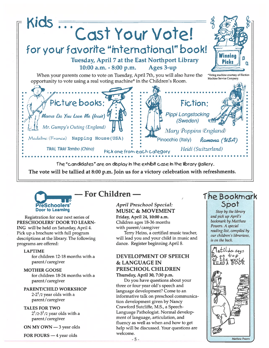



Registration for our next series of PRESCHOOLERS' DOOR TO LEARN ING will be held on Saturday, April 4. Pick up <sup>a</sup> brochure with full program descriptions at the library. The following programs are offered:

#### LAPTIME

for children 12-18 months with <sup>a</sup> parent/ caregiver

#### MOTHER GOOSE

for children 18-24 months with <sup>a</sup> parent/caregiver

#### PARENT/CHILD WORKSHOP

2-2 $^1$ /2 year olds with a parent/ caregiver

#### TALES FOR TWO

2 $^{\rm 1}$ /2-3 $^{\rm 1}$ /2 year olds with a parent/caregiver

ON MY OWN —3 year olds

FOR FOURS  $-4$  year olds welcome.

#### — For Children —

#### April Preschool Special: MUSIC & MOVEMENT Friday, April 24, 10:00 a.m.

Children ages 18-36 months with parent/caregiver Terry Heins, a certified music teacher,

will lead you and your child in music and dance. Register beginning April 8.

#### DEVELOPMENT OF SPEECH& LANGUAGE IN PRESCHOOL CHILDREN

Thursday, April 30, 7:30 p.m. Do you have questions about your three or four year old's speech and language development? Come to an informative talk on preschool communica tion development given by Nancy Crawford Sutcliffe, M.S., <sup>a</sup> Speech-Language Pathologist. Normal develop ment of language, articulation, and fluency as well as when and how to ge<sup>t</sup> help will be discussed. Your questions are welcome.

#### The Bookmark 5pot

Stop by the library and pick up April's bookmark by Matthew Powers. A special reading list, compiled by our children's librarians, is on the back.

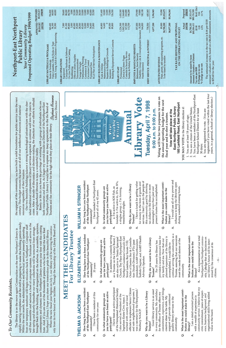# To Our Community Residents, — To Our Community Residents,

rapidly nearing completion and the staff is preparing to make the building patron-ready. rapidly nearing completion and the staff is preparing to make the building patron-ready. Furniture will arrive in the brought back into the building, and reorganized on the shelves. An accessible, spacious, will then assemble and network a host of computer systems. Furniture will arrive in the brought back into the building, and reorganized on the shelves. An accessible, spacious, from our temporary storefront will begin relocation back to Northport. Computer staff from our temporary storefront will begin relocation back to Northport. Computer staff contemporary and dynamic new Northport Library awaits your first visit this coming contemporary and dynamic new Northport Library awaits your first visit this coming Within the next month, the administrative and technical services presently operating late spring and shortly thereafter our many collections will be removed from storage, late spring and shortly thereafter our many collections will be removed from storage, Within the next month, the administrative and technical services presently operating June. And, if you are one of the thousands of patrons who have visited the new East The library is on the move again! Construction on the new Northport Library is June. And, if you are one of the thousands of patrons who have visited the new East The library is on the move again! Construction on the new Northport Library is Northport Library, I hope you share our tremendous pride in this beautiful library. Northport Library, I hope you share our tremendous pride in this beautiful library. will then assemble and network a host of computer systems.

## THELMA D. JACKSON THELMA D. JACKSON

- How long have you been a resident Q. How long have you been a resident of the Northport-East Northport of the Northport-East Northport community? community? d
	- I have been a resident of this A. I have been a resident of this community for one year. community for one year. ∢
- you (or have you been) an active you (or have you been) an active In what community groups are Q. In what community groups are participant? participant?  $\dot{\mathbf{C}}$ ∢
- I have been an active participant A. I have been an active participant officials to implement Senior Citizen officials to implement Senior Citizen of the Hempstead Historical Society. of the Hempstead Historical Society. was a secretary for the Hempstead/ was a secretary for the Hempstead/ and safe neighborhood programs. I and safe neighborhood programs. I I also served as President of the also served as President of the Ingraham Estate Civic Assoc. I Ingraham Estate Civic Assoc. I worked with county and local worked with county and local Westbury NAACP. Westbury NAACP
- Why do you want to be a Library Q. Why do you want to be a Library Trustee? Trustee? ö

₹

- commitment, experience, and brings commitment, experience, and brings Good library service is an asset in every community. My candidacy A. Good library service is an asset in every community. My candidacy for the office of Trustee offers my for the office of Trustee offers my support will provide continued support will provide continued creative ideas to the table. My creative ideas to the table. My quality library services to the quality library services to the community. community.
- What is the most important contri-Q. What is the most important contri bution you could make to the bution you could make to the library?  $\dot{\mathbf{\sigma}}$ نج

community service. I believe that my community service. I believe that my civic commitment, years of expericivic commitment, years of experi I am a detail-oriented person A. I am a detail-oriented person organizational skills bring added organizational skills bring added ence, business background, and ence, business background, and with a wealth of experience in with a wealth of experience in value to the board. value to the board.

- Q. How long have you been a resident of the Northport-East Northport of the Northport-East Northport community? 35 years community? A. 35 years d 4
- you (or have you been) an active you (or have you been) an active In what community groups are Q. In what community groups are participant? participant?  $\dot{\mathbf{C}}$

Q. Why do you want to be a Library Why do you want Trustee? Trustee?  $\dot{\mathbf{o}}$ ₹

- planned expansion of the library is meet the needs and desires of the Now that our my family and me. Now that our meet the needs and desires of the For 35 years the library has A. For 35 years the library has accomplished, I would like to accomplished, I would like to my family and me provided a sound community. community.
- continue serving the community as a continue serving the community as a Irustee, assuring that our resources resource base for Trustee, assuring that our resources provided a sound resource base for planned expansion of the library is

As a representative of our total As a representative of our total

### WILLIAM H. STRINGER WILLIAM H. STRINGER  $\dot{\mathbf{Q}}$

- How long have you been a resident Q. How long have you been a resident of the Northport-East Northport of the Northport-East Northport community? community?
- I have resided in Northport-East A. I have resided in Northport-East Northport all of my 42 years. Northport all of my 42 years. 4
- you (or have you been) an active you (or have you been) an active In what community groups are Q. In what community groups are participant? participant?  $\dot{\mathbf{C}}$
- $\&$  30's, a. I'm active in SOS Fish, as A. a. I'm active in SOS Fish, as a singles group. c. I'm forming, singles group. c. I'm forming, founder. b. I'm active in, 20's tranzitional singles. tranzitional singles. 4
- Why do you want to be a Library Q. Why do you want to be a Library Trustee? Trustee?  $\dot{\mathbf{Q}}$
- I have a knack for getting value for money in the form of goods and services. I feel I can do the people of services. I feel I can do the people of A. I have a knack for getting value for money in the form of goods and this community good by directing this community good by directing present trustee has accomplished. tax dollars for the library in more present trustee has accomplished. tax dollars for the library in more meaningful ways than past and meaningful ways than past and 4
- What is the most important contri-Q. What is the most important contri bution you could make to the bution you could make to the library?  $\dot{\mathbf{C}}$
- I would use all of my power and would use all of my power and influence to keep the libraries open influence to keep the libraries open during weekend evening hours. during weekend evening hours. A.
- What is the most important contri-Q. What is the most important contri bution you could make to the bution you could make to the library?  $\dot{\mathbf{Q}}$

my decisions on

Northport-East Northport commu-Northport-East Northport commu nity, I pledge that my decisions on our library's future will be deterour library's future will be deter mined by the consensus of its mined by the consensus of its nity, I pledge that citizens.

fiscal year and to elect a trustee. fiscal year and to elect a trustee.

185 Larkfield Road, East Northport 185 Larkfield Road, East Northport East Northport Public Library East Northport Public Library

YOU MAY VOTE in the library election if: YOU MAY VOTE in the library election if:

- 1. You are at least 18 years of age; 1. You are at least 18 years of age;
- 2. You are a citizen of the United States;<br>3. You have been a resident of the Northport-East 2. You are a citizen of the United States;
	- 3. You have been a resident of the Northport-East Northport School District for at least Northport School District for at least
- registered if you have voted within the last four registered if you have voted within the last four 30 days;<br>You are registered to vote. (You are 4. You are registered to vote. (You are 4.
	- years, in a general, school or library election.) years, in a general, school or library election.)

### **McGRAIL** ELIZABETH A. McGRAIL ELIZABETH A.

How long have you been a resident

ì.

- In addition to currently serving A. In addition to currently serving Suffolk Chapter; and AARP-Health Suffolk Chapter; and AARP-Health Library Board, 1 as a Trustee on the Library Board, I Church; The Place (Northport-East Church; The Place (Northport-East Northport Guidance Council); Girl am also active in Trinity Episcopal Northport Guidance Council); Girl am also active in Trinity Episcopal Order of Eastern Star & Constella- Constella president); AARP-Northwestern tion (Youth Division); PTA (past president); AARP-Northwestern Scout Leaders; Boy Scouts T-52; tion (Youth Division); PTA (past Scout Leaders; Boy Scouts T-52; Order of Eastern Star as a Trustee on the Advisory Speaker. Advisory Speaker. خ
- 

### to be a Library

\$6.62 (Est.) \$5.98 \$6.62 (Est.) Proposed<br>1998/99 \$5,303,475<br>\$80,156,508 APPROVED PROPOSED<br>BUDGET BUDGET 1998/99 685,065 93,090 5,396,965 \$5,303,475 \$5,396,565 PROPOSED BUDGET Actual Proposed 1997/98 1998/99 354,800 68,000 68,000 28,600 88,200 84,700 3,000 52,200 33,600 28,500 53,000 12,000 9,000 42,000 25,500 101,000<br>18,000<br>126,500<br>126,510 1,420,300<br>1,164,400<br>222,000<br>146,200 279,900 19,800 180,100 730,500 685,065 4,877,200 5,396,965 89,000 93,090 \$4,788,200 \$5,303,475 \$4,877,200 \$5,396,565 \$4,788,200 \$5,303,475 \$80,084,433 \$80,156,508  $0.64$ <br> $10.7%$ assessed valuation which, based on a \$4,000 assessment, amounts assessed valuation which, based on a \$4,000 assessment, amounts 4.9% 10.7% Proposed Operating Budget 1998/1999  $0.28$  0.64 Proposed Operating Budget 1998/1999 Northport-East Northport Northport-East Northport The estimated increase in the tax rate is \$.64 per \$100 The estimated increase in the tax rate is \$.64 per \$100 1997/98 730,500 89,000 \$4,877,200 Actual<br>1997/98 60,800 14,600 307,000 Retirement, Social Security<br>Disability, Group Life & Unemployment Insurance 18,300<br> TAX RATE HISTORY AND PROPOSAL APPROVED **BUDGET** BUDGET 3,000 164,000 4,877,200 \$4,788,200 \$4,788,200 \$80,084,433 TAX RATE HISTORY AND PROPOSAL 342,400<br>56,300<br>55,900 7,000<br>81,200<br>89,400 9<br>2000<br>2000<br>2000 00<br>10,000<br>36,800<br>20,000 ے 69,500 89,800 1,224,300<br>1,063,100 167,500<br>113,700 Retirement, Social Security 307,000 & Unemployment Insurance 18,300 Health Insurance 164,000 Your Community Library  $0.28$ <br> $4.9%$ \$5.98 Your Community Library ON THE OPERATING BUDGET ON THE OPERATING BUDGET Public Library Public Library Children's Programming Fines, grants, self-supporting programs, etc.<br>To be raised by taxation Fines, grants, self-supporting programs, etc. DEBT SERVICE - PRINCIPAL & INTEREST **LIBRARY BUILDINGS & MAINTENANCE**  INTEREST Equipment Service Contracts MAINTENANCE Books on Tape **LIBRARY MATERIALS & PROGRAMS** EMPLOYEE & MANDATED BENEFITS MANDATED BENEFITS PROGRAMS SCLS Plan of Service Participation SCLS Plan of Service Participation & Software Repairs to Buildings & Grounds Grounds On-Line Public Access Catalog On-Line Public Access Catalog Security Service Assessed Valuation of District Holiday Service DEBT SERVICE - PRINCIPAL Assessed Valuation of District Library Supplies Amount to be raised by taxes Amount to be raised by taxes Library Pages **ANTICIPATED REVENUE** To be raised by taxation ু প & Printing Maintenance Supplies ANTICIPATED REVENUE Maintenance Supplies **LIBRARY OPERATIONS** Telecommunications Disability, Group Life Video Cassettes, CDs Computer Hardware LIBRARY OPERATIONS Telecommunications & Travel Adult, Young Adult Circulation Control Repairs to Buildings Periodicals Circulation Control LIBRARY MATERIALS LIBRARY BUILDINGS Postage & Freight Professional Fees Health Insurance  $\%$  Change in tax rate Professional Fees & Utilities Tax rate per \$100<br>\$ Change in tax rate **Bookbinding LIBRARY STAFF** Bookbinding LIBRARY STAFF Protessional Publications Professional Clerical &&Tax rate per \$100 Equipment **Conference** &Insurance Insurance Sunday &Custodial Office &Building &EMPLOYEE Books Fuels

Stephanie Heineman Library Director Library Director  $\mathbf{H}$ 

#### Voting will be for two purposes: to vote on ibrary Vote Voting will be for two purposes: to vote on Library Vote the annual operating budget for the next Tuesday, April 7, 1998 the annual operating budget for the next Tuesday, April 7, 1998 9:00 a.m. to 9:00 p.m. 9:00 a.m. to 9:00 p.m.. Vote will take place at the Vote will take place at the Annual Valuable 化合成物质 Virtual Vital,

nity from its two brand new facilities. Through the leadership of the Library Board and When the new fiscal year begins on July 1, our library will be serving the commu-When the new fiscal year begins on July 1, our library will be serving the commu nity from its two brand new facilities. Through the leadership

of the Library Board and

the support of the community, we have built a solid foundation for public service into the next the support of the community, we have built a solid foundation for public service into the next century. This budget ensures the best use of all of our intellectual resources and material century. This budget ensures the best use of all of our intellectual resources and material resources regardless of their location. resources regardless of their location.

come. After a decade of discussion and decision-making, the direction of our efforts to rebuild come. After a decade of discussion and decision-making, the direction of our efforts to rebuild Our two beautiful buildings balance a strong technological infrastructure with the cher-Our two beautiful buildings balance a strong technological infrastructure with the cher ished traditional components of library services expected to continue well into the years to ished traditional components of library services expected to continue well into the years to

Rarely in life do you have the privilege of working with a group of individuals who are Rarely in life do you have the privilege of working with a group of individuals who are Northport Public Library I would like to express my deep appreciation to the the Board of both visionaries and doers. As I begin my second decade as Director of the Northport-East both visionaries and doers. As I begin my second decade as Director of the Northport-East Northport Public Library I would like to express my deep appreciation to the the Board of our neighborhood libraries is now a wonderful reality. our neighborhood libraries is now a wonderful reality.

Trustees and the community for the high value they place on their library. Stephanie Heineman Trustees and the community for the high value they place on their library.

## MEET THE CANDIDATES MEET THE CANDIDATES For Library Trustee For Library Trustee

### to \$25.60 for the year. to \$25.60 for the year.

 $-7-$ 

A.